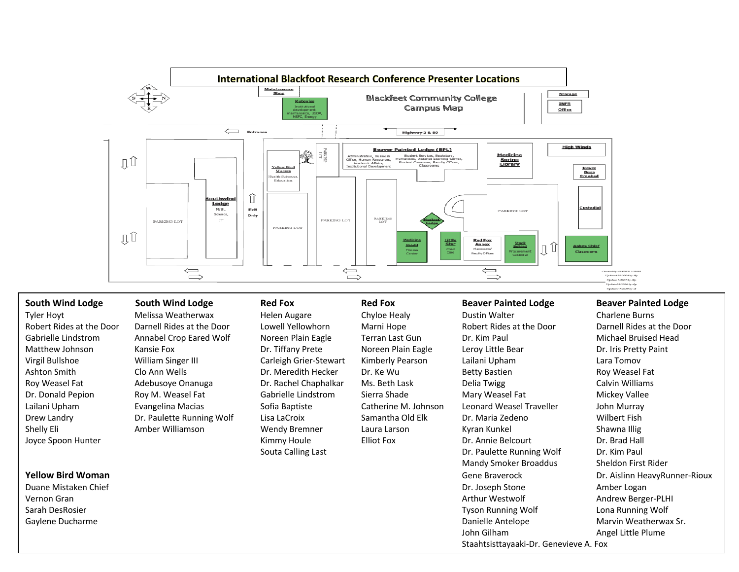

# South Wind Lodge South Wind Lodge Red Fox Red Fox Beaver Painted Lodge Beaver Painted Lodge

Tyler Hoyt **Melissa Weatherwax** Helen Augare Chyloe Healy Dustin Walter Charlene Burns Charlene Burns Robert Rides at the Door Darnell Rides at the Door Lowell Yellowhorn Marni Hope Robert Rides at the Door Darnell Rides at the Door Gabrielle Lindstrom Annabel Crop Eared Wolf Noreen Plain Eagle Terran Last Gun Dr. Kim Paul Michael Bruised Head Matthew Johnson Kansie Fox **Dr. Tiffany Prete** Noreen Plain Eagle Leroy Little Bear Dr. Iris Pretty Paint Virgil Bullshoe William Singer III Carleigh Grier-Stewart Kimberly Pearson Lailani Upham Lara Tomov Ashton Smith Clo Ann Wells Dr. Meredith Hecker Dr. Ke Wu Betty Bastien Roy Weasel Fat Roy Weasel Fat Calvin Williams Adebusoye Onanuga Dr. Rachel Chaphalkar Ms. Beth Lask Delia Twigg Calvin Williams Dr. Donald Pepion **Roy M. Weasel Fat** Gabrielle Lindstrom Sierra Shade Mary Weasel Fat Mickey Vallee Lailani Upham Evangelina Macias Sofia Baptiste Catherine M. Johnson Leonard Weasel Traveller John Murray Drew Landry **Dr. Paulette Running Wolf** Lisa LaCroix Samantha Old Elk Dr. Maria Zedeno Wilbert Fish Shelly Eli Amber Williamson Wendy Bremner Laura Larson Kyran Kunkel Shawna Illig Joyce Spoon Hunter **Supplem Contains A Container Container Container Container Container Container Container Container Container Container Container Container Container Container Container Container Container Container Con** Souta Calling Last **Dr. Paulette Running Wolf** Dr. Kim Paul Mandy Smoker Broaddus Sheldon First Rider Duane Mistaken Chief Dr. Joseph Stone Amber Logan Vernon Gran Arthur Westwolf Andrew Berger-PLHI Sarah DesRosier Tyson Running Wolf Lona Running Wolf Gaylene Ducharme **Married Marvin Weatherwax Sr.** Marvin Weatherwax Sr. Natural Danielle Antelope Marvin Weatherwax Sr. John Gilham Angel Little Plume

**Yellow Bird Woman Gene Braverock** Dr. Aislinn HeavyRunner-Rioux

Staahtsisttayaaki-Dr. Genevieve A. Fox